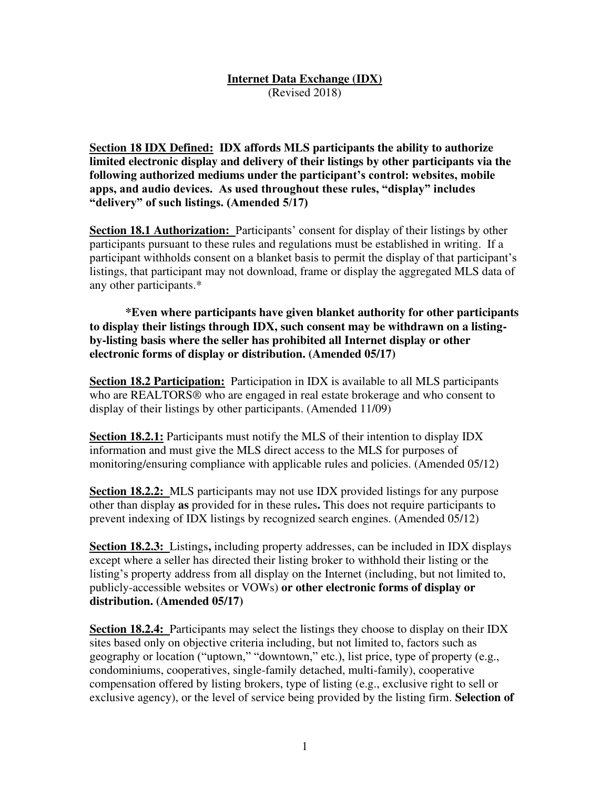#### **Internet Data Exchange (IDX)**  (Revised 2018)

**Section 18 IDX Defined: IDX affords MLS participants the ability to authorize limited electronic display and delivery of their listings by other participants via the following authorized mediums under the participant's control: websites, mobile apps, and audio devices. As used throughout these rules, "display" includes "delivery" of such listings. (Amended 5/17)**

**Section 18.1 Authorization:** Participants' consent for display of their listings by other participants pursuant to these rules and regulations must be established in writing. If a participant withholds consent on a blanket basis to permit the display of that participant's listings, that participant may not download, frame or display the aggregated MLS data of any other participants.\*

**\*Even where participants have given blanket authority for other participants to display their listings through IDX, such consent may be withdrawn on a listingby-listing basis where the seller has prohibited all Internet display or other electronic forms of display or distribution. (Amended 05/17)** 

**Section 18.2 Participation:** Participation in IDX is available to all MLS participants who are REALTORS<sup>®</sup> who are engaged in real estate brokerage and who consent to display of their listings by other participants. (Amended 11/09)

**Section 18.2.1:** Participants must notify the MLS of their intention to display IDX information and must give the MLS direct access to the MLS for purposes of monitoring/ensuring compliance with applicable rules and policies. (Amended 05/12)

**Section 18.2.2:** MLS participants may not use IDX provided listings for any purpose other than display **as** provided for in these rules**.** This does not require participants to prevent indexing of IDX listings by recognized search engines. (Amended 05/12)

**Section 18.2.3:** Listings**,** including property addresses, can be included in IDX displays except where a seller has directed their listing broker to withhold their listing or the listing's property address from all display on the Internet (including, but not limited to, publicly-accessible websites or VOWs) **or other electronic forms of display or distribution. (Amended 05/17)** 

**Section 18.2.4:** Participants may select the listings they choose to display on their IDX sites based only on objective criteria including, but not limited to, factors such as geography or location ("uptown," "downtown," etc.), list price, type of property (e.g., condominiums, cooperatives, single-family detached, multi-family), cooperative compensation offered by listing brokers, type of listing (e.g., exclusive right to sell or exclusive agency), or the level of service being provided by the listing firm. **Selection of**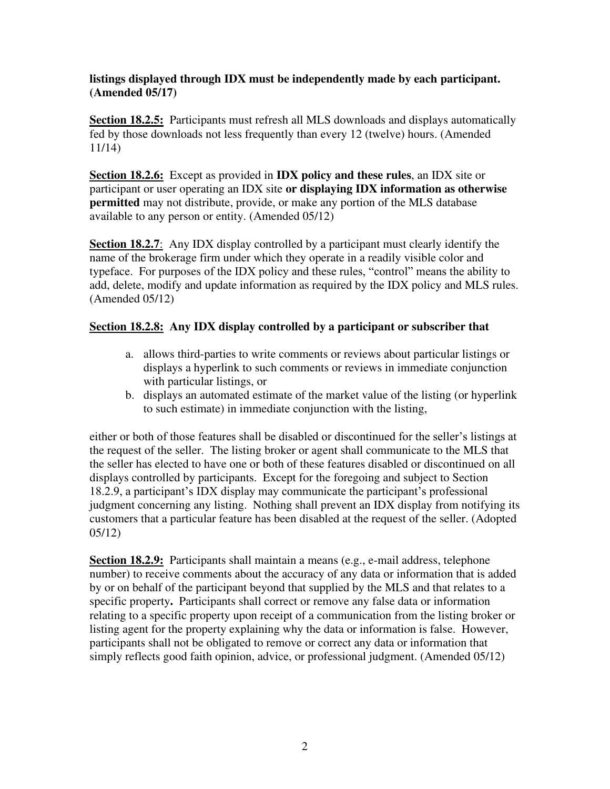#### **listings displayed through IDX must be independently made by each participant. (Amended 05/17)**

**Section 18.2.5:** Participants must refresh all MLS downloads and displays automatically fed by those downloads not less frequently than every 12 (twelve) hours. (Amended 11/14)

**Section 18.2.6:** Except as provided in **IDX policy and these rules**, an IDX site or participant or user operating an IDX site **or displaying IDX information as otherwise permitted** may not distribute, provide, or make any portion of the MLS database available to any person or entity. (Amended 05/12)

**Section 18.2.7**: Any IDX display controlled by a participant must clearly identify the name of the brokerage firm under which they operate in a readily visible color and typeface. For purposes of the IDX policy and these rules, "control" means the ability to add, delete, modify and update information as required by the IDX policy and MLS rules. (Amended 05/12)

# **Section 18.2.8: Any IDX display controlled by a participant or subscriber that**

- a. allows third-parties to write comments or reviews about particular listings or displays a hyperlink to such comments or reviews in immediate conjunction with particular listings, or
- b. displays an automated estimate of the market value of the listing (or hyperlink to such estimate) in immediate conjunction with the listing,

either or both of those features shall be disabled or discontinued for the seller's listings at the request of the seller. The listing broker or agent shall communicate to the MLS that the seller has elected to have one or both of these features disabled or discontinued on all displays controlled by participants. Except for the foregoing and subject to Section 18.2.9, a participant's IDX display may communicate the participant's professional judgment concerning any listing. Nothing shall prevent an IDX display from notifying its customers that a particular feature has been disabled at the request of the seller. (Adopted 05/12)

**Section 18.2.9:** Participants shall maintain a means (e.g., e-mail address, telephone number) to receive comments about the accuracy of any data or information that is added by or on behalf of the participant beyond that supplied by the MLS and that relates to a specific property**.** Participants shall correct or remove any false data or information relating to a specific property upon receipt of a communication from the listing broker or listing agent for the property explaining why the data or information is false. However, participants shall not be obligated to remove or correct any data or information that simply reflects good faith opinion, advice, or professional judgment. (Amended 05/12)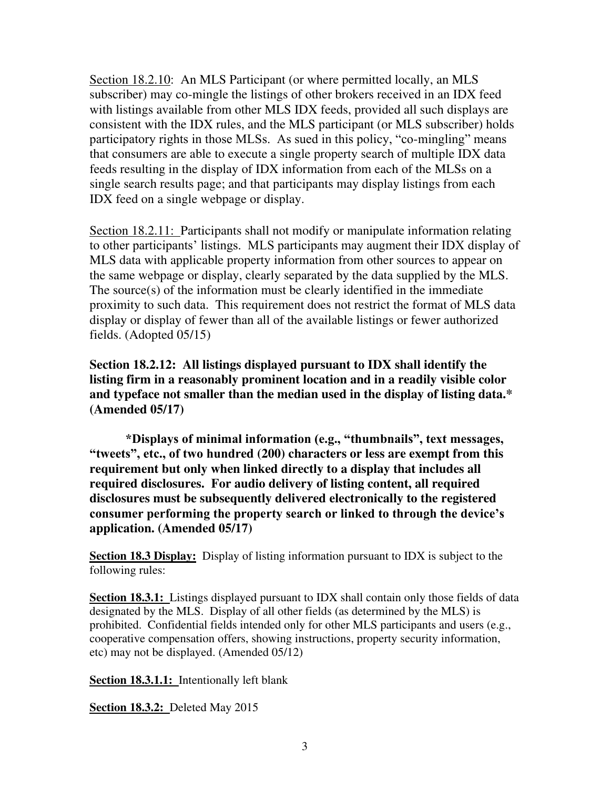Section 18.2.10: An MLS Participant (or where permitted locally, an MLS subscriber) may co-mingle the listings of other brokers received in an IDX feed with listings available from other MLS IDX feeds, provided all such displays are consistent with the IDX rules, and the MLS participant (or MLS subscriber) holds participatory rights in those MLSs. As sued in this policy, "co-mingling" means that consumers are able to execute a single property search of multiple IDX data feeds resulting in the display of IDX information from each of the MLSs on a single search results page; and that participants may display listings from each IDX feed on a single webpage or display.

Section 18.2.11: Participants shall not modify or manipulate information relating to other participants' listings. MLS participants may augment their IDX display of MLS data with applicable property information from other sources to appear on the same webpage or display, clearly separated by the data supplied by the MLS. The source(s) of the information must be clearly identified in the immediate proximity to such data. This requirement does not restrict the format of MLS data display or display of fewer than all of the available listings or fewer authorized fields. (Adopted 05/15)

**Section 18.2.12: All listings displayed pursuant to IDX shall identify the listing firm in a reasonably prominent location and in a readily visible color and typeface not smaller than the median used in the display of listing data.\* (Amended 05/17)** 

**\*Displays of minimal information (e.g., "thumbnails", text messages, "tweets", etc., of two hundred (200) characters or less are exempt from this requirement but only when linked directly to a display that includes all required disclosures. For audio delivery of listing content, all required disclosures must be subsequently delivered electronically to the registered consumer performing the property search or linked to through the device's application. (Amended 05/17)** 

**Section 18.3 Display:** Display of listing information pursuant to IDX is subject to the following rules:

**Section 18.3.1:** Listings displayed pursuant to IDX shall contain only those fields of data designated by the MLS. Display of all other fields (as determined by the MLS) is prohibited. Confidential fields intended only for other MLS participants and users (e.g., cooperative compensation offers, showing instructions, property security information, etc) may not be displayed. (Amended 05/12)

**Section 18.3.1.1:** Intentionally left blank

**Section 18.3.2:** Deleted May 2015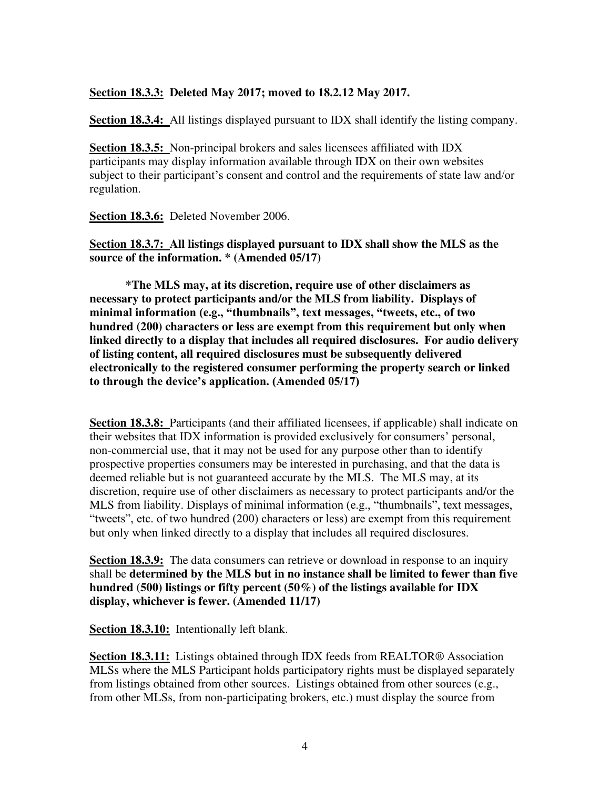#### **Section 18.3.3: Deleted May 2017; moved to 18.2.12 May 2017.**

**Section 18.3.4:** All listings displayed pursuant to IDX shall identify the listing company.

**Section 18.3.5:** Non-principal brokers and sales licensees affiliated with IDX participants may display information available through IDX on their own websites subject to their participant's consent and control and the requirements of state law and/or regulation.

**Section 18.3.6:** Deleted November 2006.

**Section 18.3.7: All listings displayed pursuant to IDX shall show the MLS as the source of the information. \* (Amended 05/17)** 

 **\*The MLS may, at its discretion, require use of other disclaimers as necessary to protect participants and/or the MLS from liability. Displays of minimal information (e.g., "thumbnails", text messages, "tweets, etc., of two hundred (200) characters or less are exempt from this requirement but only when linked directly to a display that includes all required disclosures. For audio delivery of listing content, all required disclosures must be subsequently delivered electronically to the registered consumer performing the property search or linked to through the device's application. (Amended 05/17)**

**Section 18.3.8:** Participants (and their affiliated licensees, if applicable) shall indicate on their websites that IDX information is provided exclusively for consumers' personal, non-commercial use, that it may not be used for any purpose other than to identify prospective properties consumers may be interested in purchasing, and that the data is deemed reliable but is not guaranteed accurate by the MLS. The MLS may, at its discretion, require use of other disclaimers as necessary to protect participants and/or the MLS from liability. Displays of minimal information (e.g., "thumbnails", text messages, "tweets", etc. of two hundred (200) characters or less) are exempt from this requirement but only when linked directly to a display that includes all required disclosures.

**Section 18.3.9:** The data consumers can retrieve or download in response to an inquiry shall be **determined by the MLS but in no instance shall be limited to fewer than five hundred (500) listings or fifty percent (50%) of the listings available for IDX display, whichever is fewer. (Amended 11/17)** 

**Section 18.3.10:** Intentionally left blank.

**Section 18.3.11:** Listings obtained through IDX feeds from REALTOR® Association MLSs where the MLS Participant holds participatory rights must be displayed separately from listings obtained from other sources. Listings obtained from other sources (e.g., from other MLSs, from non-participating brokers, etc.) must display the source from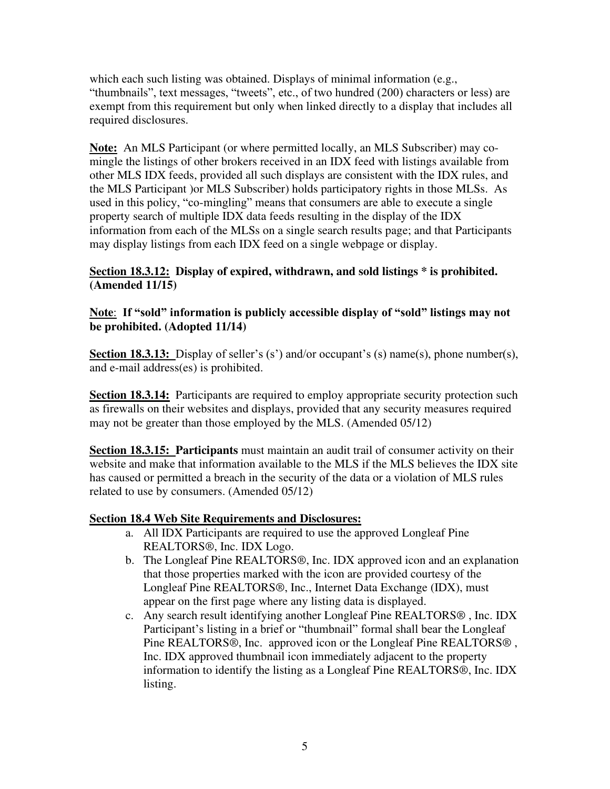which each such listing was obtained. Displays of minimal information (e.g., "thumbnails", text messages, "tweets", etc., of two hundred (200) characters or less) are exempt from this requirement but only when linked directly to a display that includes all required disclosures.

**Note:** An MLS Participant (or where permitted locally, an MLS Subscriber) may comingle the listings of other brokers received in an IDX feed with listings available from other MLS IDX feeds, provided all such displays are consistent with the IDX rules, and the MLS Participant )or MLS Subscriber) holds participatory rights in those MLSs. As used in this policy, "co-mingling" means that consumers are able to execute a single property search of multiple IDX data feeds resulting in the display of the IDX information from each of the MLSs on a single search results page; and that Participants may display listings from each IDX feed on a single webpage or display.

## **Section 18.3.12: Display of expired, withdrawn, and sold listings \* is prohibited. (Amended 11/15)**

### **Note**: **If "sold" information is publicly accessible display of "sold" listings may not be prohibited. (Adopted 11/14)**

**Section 18.3.13:** Display of seller's (s') and/or occupant's (s) name(s), phone number(s), and e-mail address(es) is prohibited.

**Section 18.3.14:** Participants are required to employ appropriate security protection such as firewalls on their websites and displays, provided that any security measures required may not be greater than those employed by the MLS. (Amended 05/12)

**Section 18.3.15: Participants** must maintain an audit trail of consumer activity on their website and make that information available to the MLS if the MLS believes the IDX site has caused or permitted a breach in the security of the data or a violation of MLS rules related to use by consumers. (Amended 05/12)

## **Section 18.4 Web Site Requirements and Disclosures:**

- a. All IDX Participants are required to use the approved Longleaf Pine REALTORS®, Inc. IDX Logo.
- b. The Longleaf Pine REALTORS®, Inc. IDX approved icon and an explanation that those properties marked with the icon are provided courtesy of the Longleaf Pine REALTORS®, Inc., Internet Data Exchange (IDX), must appear on the first page where any listing data is displayed.
- c. Any search result identifying another Longleaf Pine REALTORS® , Inc. IDX Participant's listing in a brief or "thumbnail" formal shall bear the Longleaf Pine REALTORS®, Inc. approved icon or the Longleaf Pine REALTORS® , Inc. IDX approved thumbnail icon immediately adjacent to the property information to identify the listing as a Longleaf Pine REALTORS®, Inc. IDX listing.